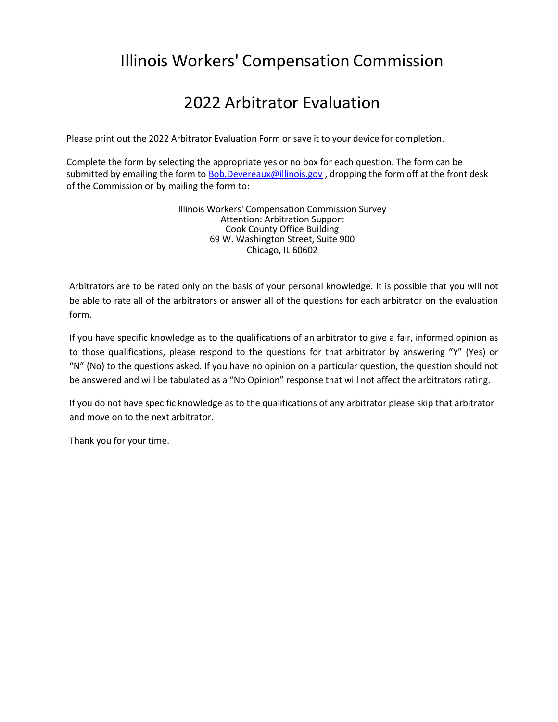## 2022 Arbitrator Evaluation

Please print out the 2022 Arbitrator Evaluation Form or save it to your device for completion.

Complete the form by selecting the appropriate yes or no box for each question. The form can be submitted by emailing the form t[o Bob.Devereaux@illinois.gov](mailto:Bob.Devereaux@illinois.gov), dropping the form off at the front desk of the Commission or by mailing the [form to:](mailto:Bob.Devereaux@illinois.gov)

> Illinois Workers' Compensation Commission Survey Attention: Arbitration Support Cook County Office Building 69 W. Washington Street, Suite 900 Chicago, IL 60602

Arbitrators are to be rated only on the basis of your personal knowledge. It is possible that you will not be able to rate all of the arbitrators or answer all of the questions for each arbitrator on the evaluation form.

If you have specific knowledge as to the qualifications of an arbitrator to give a fair, informed opinion as to those qualifications, please respond to the questions for that arbitrator by answering "Y" (Yes) or "N" (No) to the questions asked. If you have no opinion on a particular question, the question should not be answered and will be tabulated as a "No Opinion" response that will not affect the arbitrators rating.

If you do not have specific knowledge as to the qualifications of any arbitrator please skip that arbitrator and move on to the next arbitrator.

Thank you for your time.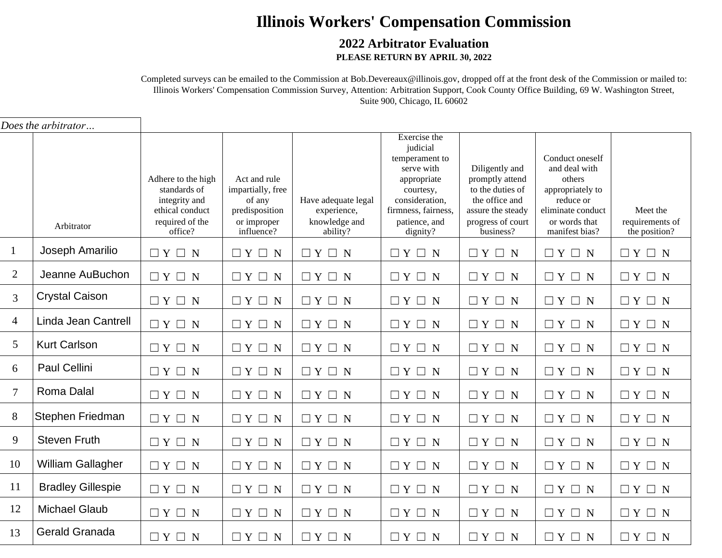#### **2022 Arbitrator Evaluation PLEASE RETURN BY APRIL 30, 2022**

Completed surveys can be emailed to the Commission at [Bob.Devereaux@illinois.gov, dr](mailto:Bob.Devereaux@illinois.gov)opped off at the front desk of the Commission or mailed to: Illinois Workers' Compensation Commission Survey, Attention: Arbitration Support, Cook County Office Building, 69 W. Washington Street, Suite 900, Chicago, IL 60602

|                | Does the arbitrator      |                                                                                                      |                                                                                            |                                                                 |                                                                                                                                                            |                                                                                                                                |                                                                                                                                     |                                              |
|----------------|--------------------------|------------------------------------------------------------------------------------------------------|--------------------------------------------------------------------------------------------|-----------------------------------------------------------------|------------------------------------------------------------------------------------------------------------------------------------------------------------|--------------------------------------------------------------------------------------------------------------------------------|-------------------------------------------------------------------------------------------------------------------------------------|----------------------------------------------|
|                | Arbitrator               | Adhere to the high<br>standards of<br>integrity and<br>ethical conduct<br>required of the<br>office? | Act and rule<br>impartially, free<br>of any<br>predisposition<br>or improper<br>influence? | Have adequate legal<br>experience,<br>knowledge and<br>ability? | Exercise the<br>judicial<br>temperament to<br>serve with<br>appropriate<br>courtesy,<br>consideration,<br>firmness, fairness,<br>patience, and<br>dignity? | Diligently and<br>promptly attend<br>to the duties of<br>the office and<br>assure the steady<br>progress of court<br>business? | Conduct oneself<br>and deal with<br>others<br>appropriately to<br>reduce or<br>eliminate conduct<br>or words that<br>manifest bias? | Meet the<br>requirements of<br>the position? |
| $\mathbf{1}$   | Joseph Amarilio          | $\Box Y \Box N$                                                                                      | $\Box Y \Box N$                                                                            | $\Box Y \Box N$                                                 | $\Box Y \Box N$                                                                                                                                            | $\Box Y \Box N$                                                                                                                | $\Box Y \Box N$                                                                                                                     | $\Box Y \Box N$                              |
| $\overline{2}$ | Jeanne AuBuchon          | $\Box Y \Box N$                                                                                      | $\Box Y \Box N$                                                                            | $\Box Y \Box N$                                                 | $\Box Y \Box N$                                                                                                                                            | $\Box Y \Box N$                                                                                                                | $\Box Y \Box N$                                                                                                                     | $\Box Y \Box N$                              |
| $\overline{3}$ | <b>Crystal Caison</b>    | $\Box Y \Box N$                                                                                      | $\Box Y \Box N$                                                                            | $\Box Y \Box N$                                                 | $\Box Y \Box N$                                                                                                                                            | $\Box Y \Box N$                                                                                                                | $\Box Y \Box N$                                                                                                                     | $\Box Y \Box N$                              |
| $\overline{4}$ | Linda Jean Cantrell      | $\square \; Y \; \square \; N$                                                                       | $\square \; Y \; \square \; N$                                                             | $\Box Y \Box N$                                                 | $\Box Y \Box N$                                                                                                                                            | $\Box Y \Box N$                                                                                                                | $\Box Y \Box N$                                                                                                                     | $\Box Y \Box N$                              |
| 5              | <b>Kurt Carlson</b>      | $\Box Y \Box N$                                                                                      | $\Box Y \Box N$                                                                            | $\Box Y \Box N$                                                 | $\Box Y \Box N$                                                                                                                                            | $\Box Y \Box N$                                                                                                                | $\Box Y \Box N$                                                                                                                     | $\Box Y \Box N$                              |
| 6              | Paul Cellini             | $\Box Y \Box N$                                                                                      | $\Box Y \Box N$                                                                            | $\Box Y \Box N$                                                 | $\Box Y \Box N$                                                                                                                                            | $\Box Y \Box N$                                                                                                                | $\Box Y \Box N$                                                                                                                     | $\Box Y \Box N$                              |
| $\overline{7}$ | Roma Dalal               | $\Box Y \Box N$                                                                                      | $\Box Y \Box N$                                                                            | $\square \; Y \; \square \; N$                                  | $\Box Y \Box N$                                                                                                                                            | $\Box Y \Box N$                                                                                                                | $\Box Y \Box N$                                                                                                                     | $\Box Y \Box N$                              |
| 8              | Stephen Friedman         | $\Box Y \Box N$                                                                                      | $\Box Y \Box N$                                                                            | $\Box Y \Box N$                                                 | $\Box Y \Box N$                                                                                                                                            | $\Box Y \Box N$                                                                                                                | $\Box Y \Box N$                                                                                                                     | $\Box Y \Box N$                              |
| 9              | <b>Steven Fruth</b>      | $\Box Y \Box N$                                                                                      | $\Box Y \Box N$                                                                            | $\Box Y \Box N$                                                 | $\Box Y \Box N$                                                                                                                                            | $\Box Y \Box N$                                                                                                                | $\Box Y \Box N$                                                                                                                     | $\Box Y \Box N$                              |
| 10             | William Gallagher        | $\Box Y \Box N$                                                                                      | $\Box Y \Box N$                                                                            | $\Box Y \Box N$                                                 | $\Box Y \Box N$                                                                                                                                            | $\Box Y \Box N$                                                                                                                | $\Box Y \Box N$                                                                                                                     | $\Box Y \Box N$                              |
| 11             | <b>Bradley Gillespie</b> | $\Box Y \Box N$                                                                                      | $\Box Y \Box N$                                                                            | $\Box Y \Box N$                                                 | $\Box Y \Box N$                                                                                                                                            | $\Box Y \Box N$                                                                                                                | $\Box Y \Box N$                                                                                                                     | $\Box Y \Box N$                              |
| 12             | <b>Michael Glaub</b>     | $\Box Y \Box N$                                                                                      | $\Box Y \Box N$                                                                            | $\Box Y \Box N$                                                 | $\Box Y \Box N$                                                                                                                                            | $\Box Y \Box N$                                                                                                                | $\Box Y \Box N$                                                                                                                     | $\Box Y \Box N$                              |
| 13             | Gerald Granada           | $\Box Y \Box N$                                                                                      | $\Box Y \Box N$                                                                            | $\Box Y \Box N$                                                 | $\Box Y \Box N$                                                                                                                                            | $\Box Y \Box N$                                                                                                                | $\Box Y \Box N$                                                                                                                     | $\Box Y \Box N$                              |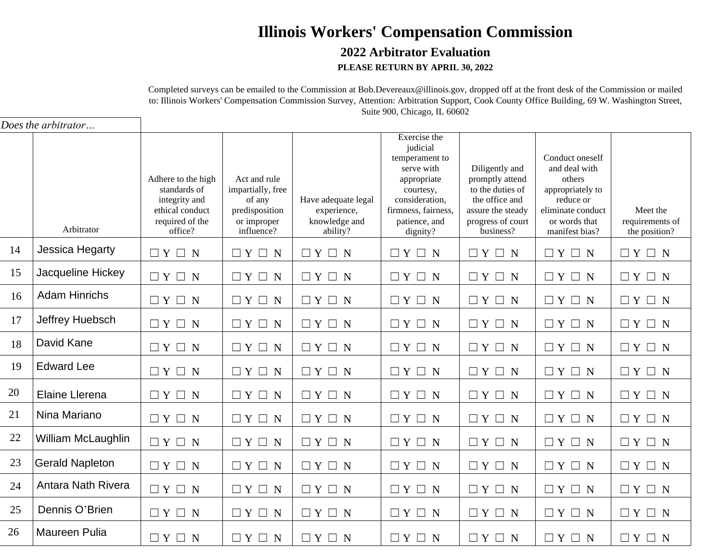#### **2022 Arbitrator Evaluation PLEASE RETURN BY APRIL 30, 2022**

Completed surveys can be emailed to the Commission at [Bob.Devereaux@illinois.gov, dr](mailto:Bob.Devereaux@illinois.gov)opped off at the front desk of the Commission or mailed to: Illinois Workers' Compensation Commission Survey, Attention: Arbitration Support, Cook County Office Building, 69 W. Washington Street, Suite 900, Chicago, IL 60602

|    | Does the arbitrator    |                                                                                                      |                                                                                            |                                                                 |                                                                                                                                                            |                                                                                                                                |                                                                                                                                     |                                              |
|----|------------------------|------------------------------------------------------------------------------------------------------|--------------------------------------------------------------------------------------------|-----------------------------------------------------------------|------------------------------------------------------------------------------------------------------------------------------------------------------------|--------------------------------------------------------------------------------------------------------------------------------|-------------------------------------------------------------------------------------------------------------------------------------|----------------------------------------------|
|    | Arbitrator             | Adhere to the high<br>standards of<br>integrity and<br>ethical conduct<br>required of the<br>office? | Act and rule<br>impartially, free<br>of any<br>predisposition<br>or improper<br>influence? | Have adequate legal<br>experience,<br>knowledge and<br>ability? | Exercise the<br>judicial<br>temperament to<br>serve with<br>appropriate<br>courtesy,<br>consideration,<br>firmness, fairness,<br>patience, and<br>dignity? | Diligently and<br>promptly attend<br>to the duties of<br>the office and<br>assure the steady<br>progress of court<br>business? | Conduct oneself<br>and deal with<br>others<br>appropriately to<br>reduce or<br>eliminate conduct<br>or words that<br>manifest bias? | Meet the<br>requirements of<br>the position? |
| 14 | Jessica Hegarty        | $\Box Y \Box N$                                                                                      | $\Box Y \Box N$                                                                            | $\Box Y \Box N$                                                 | $\Box Y \Box N$                                                                                                                                            | $\Box Y \Box N$                                                                                                                | $\Box Y \Box N$                                                                                                                     | $\Box Y \Box N$                              |
| 15 | Jacqueline Hickey      | $\Box Y \Box N$                                                                                      | $\Box Y \Box N$                                                                            | $\Box Y \Box N$                                                 | $\Box Y \Box N$                                                                                                                                            | $\Box Y \Box N$                                                                                                                | $\Box Y \Box N$                                                                                                                     | $\Box Y \Box N$                              |
| 16 | <b>Adam Hinrichs</b>   | $\Box Y \Box N$                                                                                      | $\Box Y \Box N$                                                                            | $\Box Y \Box N$                                                 | $\Box Y \Box N$                                                                                                                                            | $\Box Y \Box N$                                                                                                                | $\Box Y \Box N$                                                                                                                     | $\Box Y \Box N$                              |
| 17 | Jeffrey Huebsch        | $\Box Y \Box N$                                                                                      | $\Box Y \Box N$                                                                            | $\Box Y \Box N$                                                 | $\Box Y \Box N$                                                                                                                                            | $\Box Y \Box N$                                                                                                                | $\Box Y \Box N$                                                                                                                     | $\Box Y \Box N$                              |
| 18 | David Kane             | $\Box Y \Box N$                                                                                      | $\Box Y \Box N$                                                                            | $\Box Y \Box N$                                                 | $\Box Y \Box N$                                                                                                                                            | $\Box Y \Box N$                                                                                                                | $\Box Y \Box N$                                                                                                                     | $\Box Y \Box N$                              |
| 19 | <b>Edward Lee</b>      | $\Box Y \Box N$                                                                                      | $\Box Y \Box N$                                                                            | $\Box Y \Box N$                                                 | $\Box Y \Box N$                                                                                                                                            | $\Box Y \Box N$                                                                                                                | $\Box Y \Box N$                                                                                                                     | $\Box Y \Box N$                              |
| 20 | Elaine Llerena         | $\Box Y \Box N$                                                                                      | $\Box Y \Box N$                                                                            | $\Box Y \Box N$                                                 | $\Box Y \Box N$                                                                                                                                            | $\Box Y \Box N$                                                                                                                | $\Box Y \Box N$                                                                                                                     | $\Box Y \Box N$                              |
| 21 | Nina Mariano           | $\Box Y \Box N$                                                                                      | $\Box Y \Box N$                                                                            | $\Box Y \Box N$                                                 | $\Box Y \Box N$                                                                                                                                            | $\Box Y \Box N$                                                                                                                | $\Box Y \Box N$                                                                                                                     | $\Box Y \Box N$                              |
| 22 | William McLaughlin     | $\Box Y \Box N$                                                                                      | $\Box Y \Box N$                                                                            | $\Box Y \Box N$                                                 | $\Box Y \Box N$                                                                                                                                            | $\Box Y \Box N$                                                                                                                | $\Box Y \Box N$                                                                                                                     | $\Box Y \Box N$                              |
| 23 | <b>Gerald Napleton</b> | $\Box Y \Box N$                                                                                      | $\Box Y \Box N$                                                                            | $\Box Y \Box N$                                                 | $\Box Y \Box N$                                                                                                                                            | $\Box Y \Box N$                                                                                                                | $\Box Y \Box N$                                                                                                                     | $\Box Y \Box N$                              |
| 24 | Antara Nath Rivera     | $\Box Y \Box N$                                                                                      | $\Box Y \Box N$                                                                            | $\Box Y \Box N$                                                 | $\Box Y \Box N$                                                                                                                                            | $\Box Y \Box N$                                                                                                                | $\Box Y \Box N$                                                                                                                     | $\Box Y \Box N$                              |
| 25 | Dennis O'Brien         | $\Box Y \Box N$                                                                                      | $\Box Y \Box N$                                                                            | $\Box Y \Box N$                                                 | $\Box Y \Box N$                                                                                                                                            | $\Box Y \Box N$                                                                                                                | $\Box Y \Box N$                                                                                                                     | $\Box Y \Box N$                              |
| 26 | <b>Maureen Pulia</b>   | $\Box Y \Box N$                                                                                      | $\Box Y \Box N$                                                                            | $\Box Y \Box N$                                                 | $\Box Y \Box N$                                                                                                                                            | $\Box Y \Box N$                                                                                                                | $\Box Y \Box N$                                                                                                                     | $\Box Y \Box N$                              |